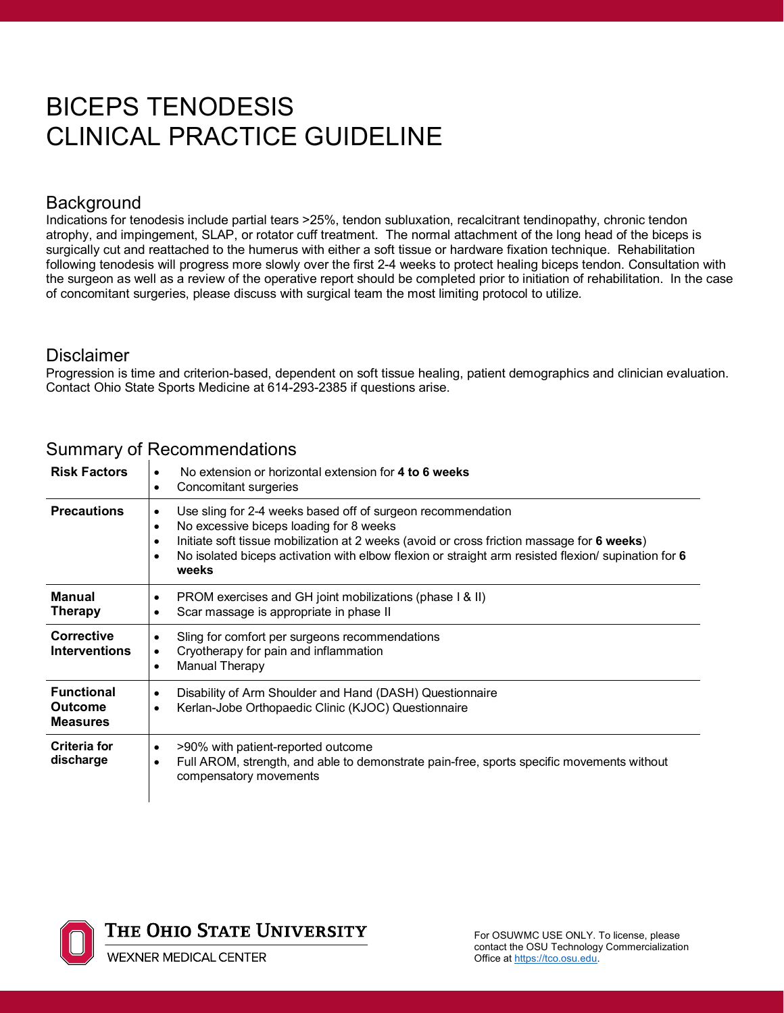# BICEPS TENODESIS CLINICAL PRACTICE GUIDELINE

#### Background

Indications for tenodesis include partial tears >25%, tendon subluxation, recalcitrant tendinopathy, chronic tendon atrophy, and impingement, SLAP, or rotator cuff treatment. The normal attachment of the long head of the biceps is surgically cut and reattached to the humerus with either a soft tissue or hardware fixation technique. Rehabilitation following tenodesis will progress more slowly over the first 2-4 weeks to protect healing biceps tendon. Consultation with the surgeon as well as a review of the operative report should be completed prior to initiation of rehabilitation. In the case of concomitant surgeries, please discuss with surgical team the most limiting protocol to utilize.

#### **Disclaimer**

Progression is time and criterion-based, dependent on soft tissue healing, patient demographics and clinician evaluation. Contact Ohio State Sports Medicine at 614-293-2385 if questions arise.

| <b>Risk Factors</b>                                    | No extension or horizontal extension for 4 to 6 weeks<br>$\bullet$<br>Concomitant surgeries<br>$\bullet$                                                                                                                                                                                                                                                                 |
|--------------------------------------------------------|--------------------------------------------------------------------------------------------------------------------------------------------------------------------------------------------------------------------------------------------------------------------------------------------------------------------------------------------------------------------------|
| <b>Precautions</b>                                     | Use sling for 2-4 weeks based off of surgeon recommendation<br>$\bullet$<br>No excessive biceps loading for 8 weeks<br>$\bullet$<br>Initiate soft tissue mobilization at 2 weeks (avoid or cross friction massage for 6 weeks)<br>$\bullet$<br>No isolated biceps activation with elbow flexion or straight arm resisted flexion/ supination for 6<br>$\bullet$<br>weeks |
| <b>Manual</b><br><b>Therapy</b>                        | PROM exercises and GH joint mobilizations (phase I & II)<br>$\bullet$<br>Scar massage is appropriate in phase II<br>$\bullet$                                                                                                                                                                                                                                            |
| Corrective<br><b>Interventions</b>                     | Sling for comfort per surgeons recommendations<br>$\bullet$<br>Cryotherapy for pain and inflammation<br>$\bullet$<br>Manual Therapy<br>$\bullet$                                                                                                                                                                                                                         |
| <b>Functional</b><br><b>Outcome</b><br><b>Measures</b> | Disability of Arm Shoulder and Hand (DASH) Questionnaire<br>$\bullet$<br>Kerlan-Jobe Orthopaedic Clinic (KJOC) Questionnaire<br>$\bullet$                                                                                                                                                                                                                                |
| <b>Criteria for</b><br>discharge                       | >90% with patient-reported outcome<br>$\bullet$<br>Full AROM, strength, and able to demonstrate pain-free, sports specific movements without<br>$\bullet$<br>compensatory movements                                                                                                                                                                                      |

#### Summary of Recommendations

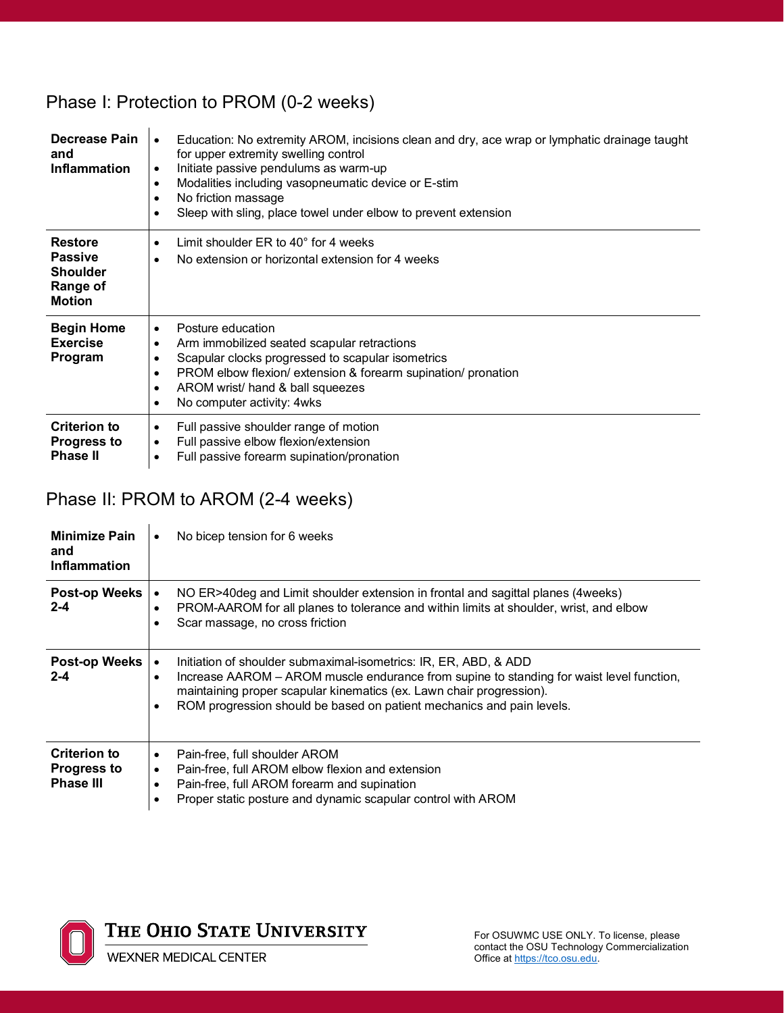## Phase I: Protection to PROM (0-2 weeks)

| Decrease Pain<br>and<br><b>Inflammation</b>                  | Education: No extremity AROM, incisions clean and dry, ace wrap or lymphatic drainage taught<br>for upper extremity swelling control<br>Initiate passive pendulums as warm-up<br>٠<br>Modalities including vasopneumatic device or E-stim<br>٠<br>No friction massage<br>$\bullet$<br>Sleep with sling, place towel under elbow to prevent extension |
|--------------------------------------------------------------|------------------------------------------------------------------------------------------------------------------------------------------------------------------------------------------------------------------------------------------------------------------------------------------------------------------------------------------------------|
| <b>Restore</b><br><b>Passive</b>                             | Limit shoulder $ER$ to $40^{\circ}$ for 4 weeks<br>٠                                                                                                                                                                                                                                                                                                 |
| <b>Shoulder</b><br>Range of<br><b>Motion</b>                 | No extension or horizontal extension for 4 weeks                                                                                                                                                                                                                                                                                                     |
| <b>Begin Home</b><br><b>Exercise</b>                         | Posture education<br>٠<br>Arm immobilized seated scapular retractions                                                                                                                                                                                                                                                                                |
| Program                                                      | Scapular clocks progressed to scapular isometrics                                                                                                                                                                                                                                                                                                    |
|                                                              | PROM elbow flexion/ extension & forearm supination/ pronation<br>٠<br>AROM wrist/ hand & ball squeezes<br>٠                                                                                                                                                                                                                                          |
|                                                              | No computer activity: 4wks                                                                                                                                                                                                                                                                                                                           |
| <b>Criterion to</b><br><b>Progress to</b><br><b>Phase II</b> | Full passive shoulder range of motion<br>Full passive elbow flexion/extension<br>٠<br>Full passive forearm supination/pronation<br>٠                                                                                                                                                                                                                 |

# Phase II: PROM to AROM (2-4 weeks)

| <b>Minimize Pain</b><br>and<br>Inflammation                   | No bicep tension for 6 weeks<br>٠                                                                                                                                                                                                                                                                                                       |
|---------------------------------------------------------------|-----------------------------------------------------------------------------------------------------------------------------------------------------------------------------------------------------------------------------------------------------------------------------------------------------------------------------------------|
| Post-op Weeks  <br>$2 - 4$                                    | NO ER>40deg and Limit shoulder extension in frontal and sagittal planes (4weeks)<br>PROM-AAROM for all planes to tolerance and within limits at shoulder, wrist, and elbow<br>$\bullet$<br>Scar massage, no cross friction                                                                                                              |
| Post-op Weeks<br>$2 - 4$                                      | Initiation of shoulder submaximal-isometrics: IR, ER, ABD, & ADD<br>$\bullet$<br>Increase AAROM - AROM muscle endurance from supine to standing for waist level function,<br>$\bullet$<br>maintaining proper scapular kinematics (ex. Lawn chair progression).<br>ROM progression should be based on patient mechanics and pain levels. |
| <b>Criterion to</b><br><b>Progress to</b><br><b>Phase III</b> | Pain-free, full shoulder AROM<br>$\bullet$<br>Pain-free, full AROM elbow flexion and extension<br>$\bullet$<br>Pain-free, full AROM forearm and supination<br>٠<br>Proper static posture and dynamic scapular control with AROM                                                                                                         |



**WEXNER MEDICAL CENTER**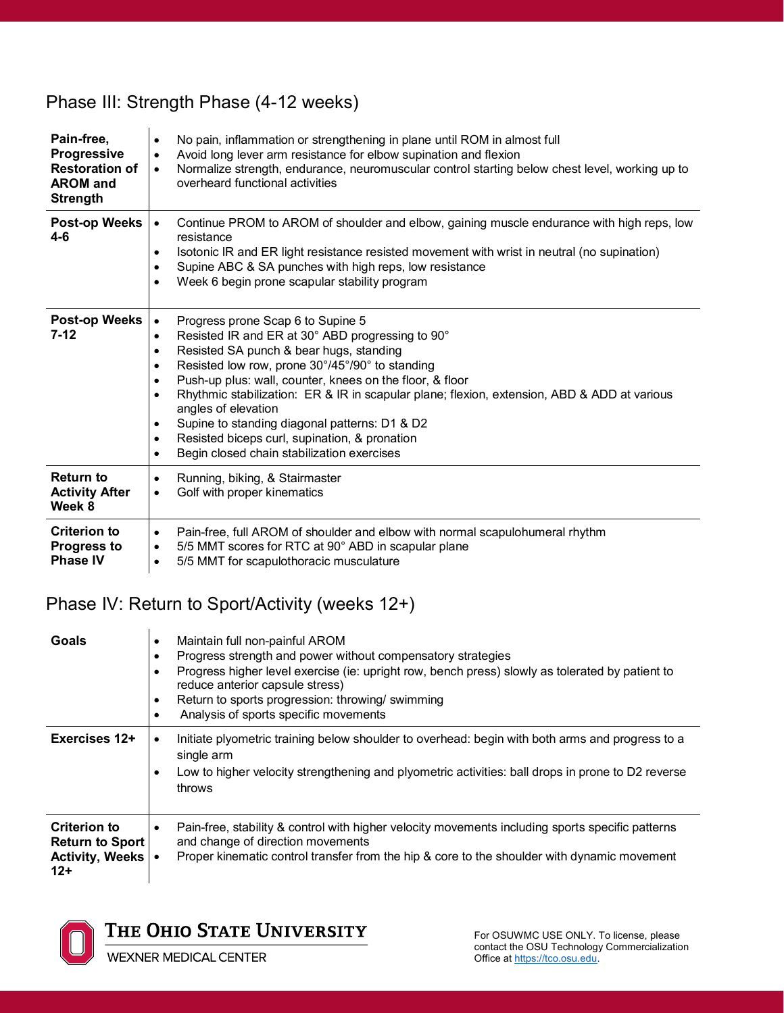### Phase III: Strength Phase (4-12 weeks)

| Pain-free,<br>Progressive<br><b>Restoration of</b><br><b>AROM</b> and<br><b>Strength</b> | No pain, inflammation or strengthening in plane until ROM in almost full<br>$\bullet$<br>Avoid long lever arm resistance for elbow supination and flexion<br>$\bullet$<br>Normalize strength, endurance, neuromuscular control starting below chest level, working up to<br>$\bullet$<br>overheard functional activities                                                                                                                                                                                                                                                                                                   |
|------------------------------------------------------------------------------------------|----------------------------------------------------------------------------------------------------------------------------------------------------------------------------------------------------------------------------------------------------------------------------------------------------------------------------------------------------------------------------------------------------------------------------------------------------------------------------------------------------------------------------------------------------------------------------------------------------------------------------|
| Post-op Weeks<br>$4 - 6$                                                                 | Continue PROM to AROM of shoulder and elbow, gaining muscle endurance with high reps, low<br>$\bullet$<br>resistance<br>Isotonic IR and ER light resistance resisted movement with wrist in neutral (no supination)<br>$\bullet$<br>Supine ABC & SA punches with high reps, low resistance<br>$\bullet$<br>Week 6 begin prone scapular stability program<br>$\bullet$                                                                                                                                                                                                                                                      |
| Post-op Weeks<br>$7-12$                                                                  | Progress prone Scap 6 to Supine 5<br>$\bullet$<br>Resisted IR and ER at 30° ABD progressing to 90°<br>$\bullet$<br>Resisted SA punch & bear hugs, standing<br>٠<br>Resisted low row, prone 30°/45°/90° to standing<br>$\bullet$<br>Push-up plus: wall, counter, knees on the floor, & floor<br>$\bullet$<br>Rhythmic stabilization: ER & IR in scapular plane; flexion, extension, ABD & ADD at various<br>$\bullet$<br>angles of elevation<br>Supine to standing diagonal patterns: D1 & D2<br>٠<br>Resisted biceps curl, supination, & pronation<br>$\bullet$<br>Begin closed chain stabilization exercises<br>$\bullet$ |
| <b>Return to</b><br><b>Activity After</b><br>Week 8                                      | Running, biking, & Stairmaster<br>$\bullet$<br>Golf with proper kinematics<br>$\bullet$                                                                                                                                                                                                                                                                                                                                                                                                                                                                                                                                    |
| <b>Criterion to</b><br><b>Progress to</b><br><b>Phase IV</b>                             | Pain-free, full AROM of shoulder and elbow with normal scapulohumeral rhythm<br>$\bullet$<br>5/5 MMT scores for RTC at 90° ABD in scapular plane<br>٠<br>5/5 MMT for scapulothoracic musculature<br>$\bullet$                                                                                                                                                                                                                                                                                                                                                                                                              |

### Phase IV: Return to Sport/Activity (weeks 12+)

| Goals                                                                         | Maintain full non-painful AROM<br>$\bullet$<br>Progress strength and power without compensatory strategies<br>$\bullet$<br>Progress higher level exercise (ie: upright row, bench press) slowly as tolerated by patient to<br>٠<br>reduce anterior capsule stress)<br>Return to sports progression: throwing/swimming<br>٠<br>Analysis of sports specific movements<br>$\bullet$ |
|-------------------------------------------------------------------------------|----------------------------------------------------------------------------------------------------------------------------------------------------------------------------------------------------------------------------------------------------------------------------------------------------------------------------------------------------------------------------------|
| Exercises 12+                                                                 | Initiate plyometric training below shoulder to overhead: begin with both arms and progress to a<br>$\bullet$<br>single arm<br>Low to higher velocity strengthening and plyometric activities: ball drops in prone to D2 reverse<br>٠<br>throws                                                                                                                                   |
| <b>Criterion to</b><br><b>Return to Sport</b><br>Activity, Weeks   •<br>$12+$ | Pain-free, stability & control with higher velocity movements including sports specific patterns<br>$\bullet$<br>and change of direction movements<br>Proper kinematic control transfer from the hip & core to the shoulder with dynamic movement                                                                                                                                |



THE OHIO STATE UNIVERSITY

**WEXNER MEDICAL CENTER**